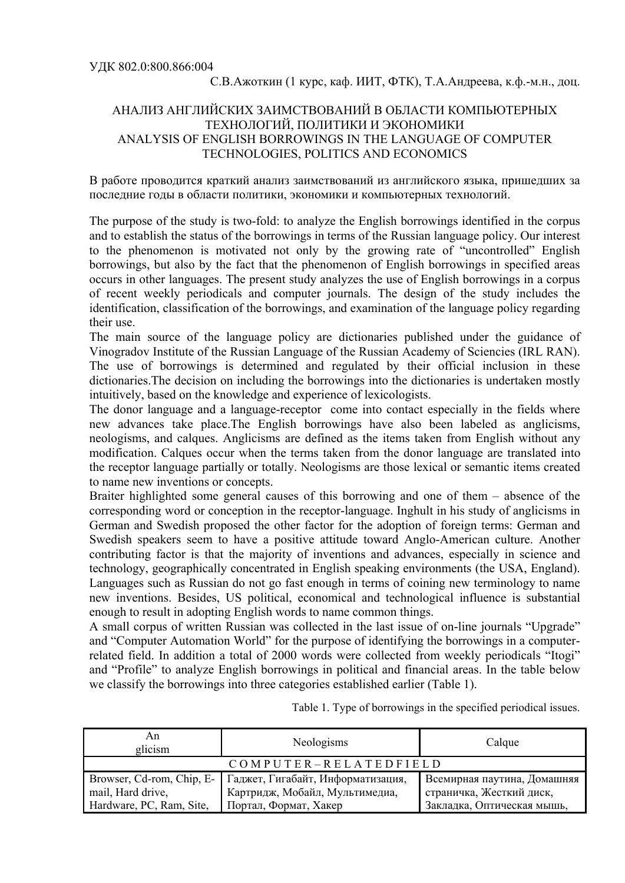## АНАЛИЗ АНГЛИЙСКИХ ЗАИМСТВОВАНИЙ В ОБЛАСТИ КОМПЬЮТЕРНЫХ ТЕХНОЛОГИЙ, ПОЛИТИКИ И ЭКОНОМИКИ ANALYSIS OF ENGLISH BORROWINGS IN THE LANGUAGE OF COMPUTER TECHNOLOGIES, POLITICS AND ECONOMICS

В работе проводится краткий анализ заимствований из английского языка, пришедших за последние годы в области политики, экономики и компьютерных технологий.

The purpose of the study is two-fold: to analyze the English borrowings identified in the corpus and to establish the status of the borrowings in terms of the Russian language policy. Our interest to the phenomenon is motivated not only by the growing rate of "uncontrolled" English borrowings, but also by the fact that the phenomenon of English borrowings in specified areas occurs in other languages. The present study analyzes the use of English borrowings in a corpus of recent weekly periodicals and computer journals. The design of the study includes the identification, classification of the borrowings, and examination of the language policy regarding their use.

The main source of the language policy are dictionaries published under the guidance of Vinogradov Institute of the Russian Language of the Russian Academy of Sciencies (IRL RAN). The use of borrowings is determined and regulated by their official inclusion in these dictionaries.The decision on including the borrowings into the dictionaries is undertaken mostly intuitively, based on the knowledge and experience of lexicologists.

The donor language and a language-receptor come into contact especially in the fields where new advances take place.The English borrowings have also been labeled as anglicisms, neologisms, and calques. Anglicisms are defined as the items taken from English without any modification. Calques occur when the terms taken from the donor language are translated into the receptor language partially or totally. Neologisms are those lexical or semantic items created to name new inventions or concepts.

Braiter highlighted some general causes of this borrowing and one of them – absence of the corresponding word or conception in the receptor-language. Inghult in his study of anglicisms in German and Swedish proposed the other factor for the adoption of foreign terms: German and Swedish speakers seem to have a positive attitude toward Anglo-American culture. Another contributing factor is that the majority of inventions and advances, especially in science and technology, geographically concentrated in English speaking environments (the USA, England). Languages such as Russian do not go fast enough in terms of coining new terminology to name new inventions. Besides, US political, economical and technological influence is substantial enough to result in adopting English words to name common things.

A small corpus of written Russian was collected in the last issue of on-line journals "Upgrade" and "Computer Automation World" for the purpose of identifying the borrowings in a computerrelated field. In addition a total of 2000 words were collected from weekly periodicals "Itogi" and "Profile" to analyze English borrowings in political and financial areas. In the table below we classify the borrowings into three categories established earlier (Table 1).

Table 1. Type of borrowings in the specified periodical issues.

| An<br>glicism            | Neologisms                                                                                      | Calque                                                  |
|--------------------------|-------------------------------------------------------------------------------------------------|---------------------------------------------------------|
| $COMPUTER-RELATEDFIELD$  |                                                                                                 |                                                         |
| mail, Hard drive,        | Browser, Cd-rom, Chip, E-   Гаджет, Гигабайт, Информатизация,<br>Картридж, Мобайл, Мультимедиа, | Всемирная паутина, Домашняя<br>страничка, Жесткий диск, |
| Hardware, PC, Ram, Site, | Портал, Формат, Хакер                                                                           | Закладка, Оптическая мышь,                              |